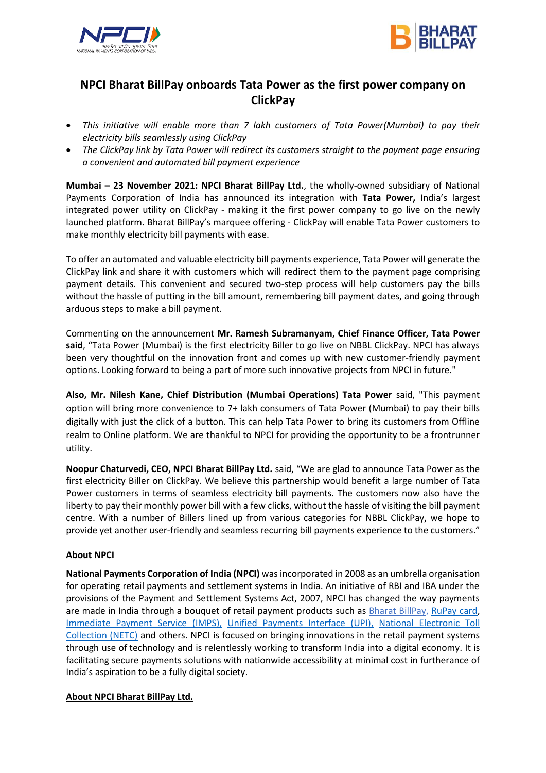



## **NPCI Bharat BillPay onboards Tata Power as the first power company on ClickPay**

- *This initiative will enable more than 7 lakh customers of Tata Power(Mumbai) to pay their electricity bills seamlessly using ClickPay*
- *The ClickPay link by Tata Power will redirect its customers straight to the payment page ensuring a convenient and automated bill payment experience*

**Mumbai – 23 November 2021: NPCI Bharat BillPay Ltd.**, the wholly-owned subsidiary of National Payments Corporation of India has announced its integration with **Tata Power,** India's largest integrated power utility on ClickPay - making it the first power company to go live on the newly launched platform. Bharat BillPay's marquee offering - ClickPay will enable Tata Power customers to make monthly electricity bill payments with ease.

To offer an automated and valuable electricity bill payments experience, Tata Power will generate the ClickPay link and share it with customers which will redirect them to the payment page comprising payment details. This convenient and secured two-step process will help customers pay the bills without the hassle of putting in the bill amount, remembering bill payment dates, and going through arduous steps to make a bill payment.

Commenting on the announcement **Mr. Ramesh Subramanyam, Chief Finance Officer, Tata Power said**, "Tata Power (Mumbai) is the first electricity Biller to go live on NBBL ClickPay. NPCI has always been very thoughtful on the innovation front and comes up with new customer-friendly payment options. Looking forward to being a part of more such innovative projects from NPCI in future."

**Also, Mr. Nilesh Kane, Chief Distribution (Mumbai Operations) Tata Power** said, "This payment option will bring more convenience to 7+ lakh consumers of Tata Power (Mumbai) to pay their bills digitally with just the click of a button. This can help Tata Power to bring its customers from Offline realm to Online platform. We are thankful to NPCI for providing the opportunity to be a frontrunner utility.

**Noopur Chaturvedi, CEO, NPCI Bharat BillPay Ltd.** said, "We are glad to announce Tata Power as the first electricity Biller on ClickPay. We believe this partnership would benefit a large number of Tata Power customers in terms of seamless electricity bill payments. The customers now also have the liberty to pay their monthly power bill with a few clicks, without the hassle of visiting the bill payment centre. With a number of Billers lined up from various categories for NBBL ClickPay, we hope to provide yet another user-friendly and seamless recurring bill payments experience to the customers."

## **About NPCI**

**National Payments Corporation of India (NPCI)** was incorporated in 2008 as an umbrella organisation for operating retail payments and settlement systems in India. An initiative of RBI and IBA under the provisions of the Payment and Settlement Systems Act, 2007, NPCI has changed the way payments are made in India through a bouquet of retail payment products such as [Bharat BillPay,](https://ind01.safelinks.protection.outlook.com/?url=https%3A%2F%2Fwww.npci.org.in%2Fproduct-overview%2Fbharat-billpay-product-overview&data=04%7C01%7Cnitasha.chandnani%40npci.org.in%7C4c43ceb636fb4fcf028e08d99ddda1a4%7C8ca9216b1bdf40569775f5e402a48d32%7C0%7C0%7C637714397488347015%7CUnknown%7CTWFpbGZsb3d8eyJWIjoiMC4wLjAwMDAiLCJQIjoiV2luMzIiLCJBTiI6Ik1haWwiLCJXVCI6Mn0%3D%7C1000&sdata=tmCZmfWoFE6hvQTenVcT7KNupEFmNND9fwMxiM1TMhg%3D&reserved=0) [RuPay card,](https://ind01.safelinks.protection.outlook.com/?url=https%3A%2F%2Fwww.npci.org.in%2Fproduct-overview%2Frupay-product-overview&data=04%7C01%7Cnitasha.chandnani%40npci.org.in%7C4c43ceb636fb4fcf028e08d99ddda1a4%7C8ca9216b1bdf40569775f5e402a48d32%7C0%7C0%7C637714397488347015%7CUnknown%7CTWFpbGZsb3d8eyJWIjoiMC4wLjAwMDAiLCJQIjoiV2luMzIiLCJBTiI6Ik1haWwiLCJXVCI6Mn0%3D%7C1000&sdata=M24aRmMdyukEI%2Fori%2B6u%2F3sp5o6w80pdxgu2DI3tDuI%3D&reserved=0) [Immediate Payment Service \(IMPS\),](https://ind01.safelinks.protection.outlook.com/?url=https%3A%2F%2Fwww.npci.org.in%2Fproduct-overview%2Fimps-product-overview&data=04%7C01%7Cnitasha.chandnani%40npci.org.in%7C4c43ceb636fb4fcf028e08d99ddda1a4%7C8ca9216b1bdf40569775f5e402a48d32%7C0%7C0%7C637714397488357009%7CUnknown%7CTWFpbGZsb3d8eyJWIjoiMC4wLjAwMDAiLCJQIjoiV2luMzIiLCJBTiI6Ik1haWwiLCJXVCI6Mn0%3D%7C1000&sdata=oG7IKG2XpTwtB3TbMbZ%2Fyt%2BGjtNMh88kyqqbeTjShJc%3D&reserved=0) [Unified Payments Interface \(UPI\),](https://ind01.safelinks.protection.outlook.com/?url=https%3A%2F%2Fwww.npci.org.in%2Fproduct-overview%2Fupi-product-overview&data=04%7C01%7Cnitasha.chandnani%40npci.org.in%7C4c43ceb636fb4fcf028e08d99ddda1a4%7C8ca9216b1bdf40569775f5e402a48d32%7C0%7C0%7C637714397488357009%7CUnknown%7CTWFpbGZsb3d8eyJWIjoiMC4wLjAwMDAiLCJQIjoiV2luMzIiLCJBTiI6Ik1haWwiLCJXVCI6Mn0%3D%7C1000&sdata=emZgO2%2F7WieCS%2BSq%2F37MJ7goj3vw1bVtdkQXABdc%2Fn0%3D&reserved=0) [National Electronic Toll](https://ind01.safelinks.protection.outlook.com/?url=https%3A%2F%2Fwww.npci.org.in%2Fnetc&data=04%7C01%7Cnitasha.chandnani%40npci.org.in%7C4c43ceb636fb4fcf028e08d99ddda1a4%7C8ca9216b1bdf40569775f5e402a48d32%7C0%7C0%7C637714397488367005%7CUnknown%7CTWFpbGZsb3d8eyJWIjoiMC4wLjAwMDAiLCJQIjoiV2luMzIiLCJBTiI6Ik1haWwiLCJXVCI6Mn0%3D%7C1000&sdata=BXa3EKqbni26XNyT9tKJpid6e5du7U%2BGHd0gfee7Q%2FI%3D&reserved=0)  [Collection \(NETC\)](https://ind01.safelinks.protection.outlook.com/?url=https%3A%2F%2Fwww.npci.org.in%2Fnetc&data=04%7C01%7Cnitasha.chandnani%40npci.org.in%7C4c43ceb636fb4fcf028e08d99ddda1a4%7C8ca9216b1bdf40569775f5e402a48d32%7C0%7C0%7C637714397488367005%7CUnknown%7CTWFpbGZsb3d8eyJWIjoiMC4wLjAwMDAiLCJQIjoiV2luMzIiLCJBTiI6Ik1haWwiLCJXVCI6Mn0%3D%7C1000&sdata=BXa3EKqbni26XNyT9tKJpid6e5du7U%2BGHd0gfee7Q%2FI%3D&reserved=0) and others. NPCI is focused on bringing innovations in the retail payment systems through use of technology and is relentlessly working to transform India into a digital economy. It is facilitating secure payments solutions with nationwide accessibility at minimal cost in furtherance of India's aspiration to be a fully digital society.

## **About NPCI Bharat BillPay Ltd.**